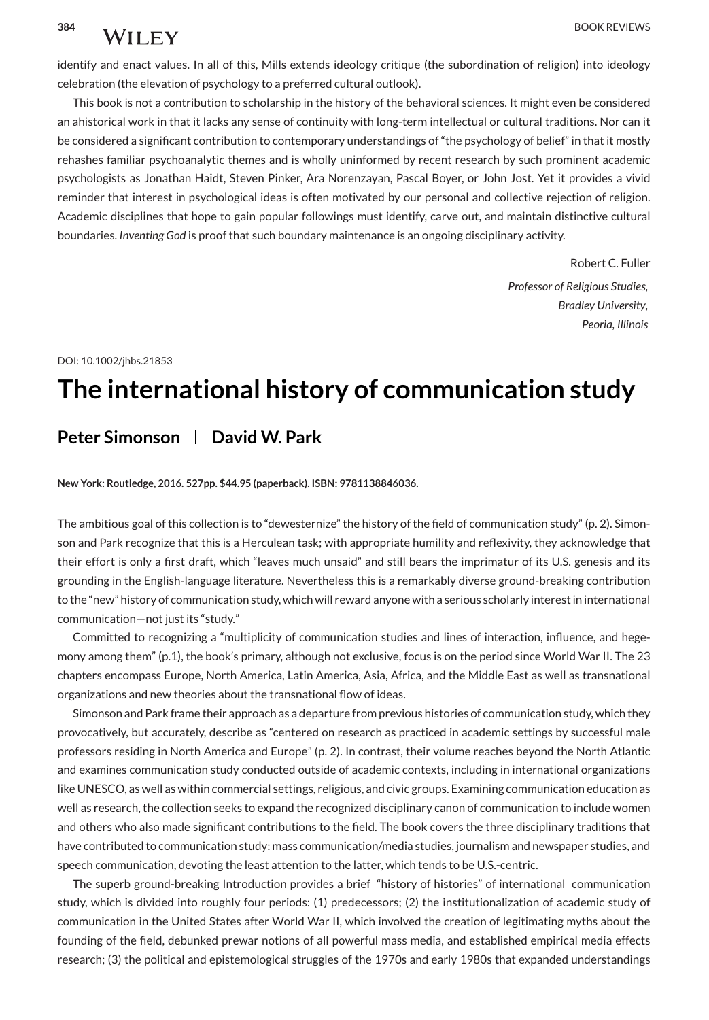identify and enact values. In all of this, Mills extends ideology critique (the subordination of religion) into ideology celebration (the elevation of psychology to a preferred cultural outlook).

This book is not a contribution to scholarship in the history of the behavioral sciences. It might even be considered an ahistorical work in that it lacks any sense of continuity with long-term intellectual or cultural traditions. Nor can it be considered a significant contribution to contemporary understandings of "the psychology of belief" in that it mostly rehashes familiar psychoanalytic themes and is wholly uninformed by recent research by such prominent academic psychologists as Jonathan Haidt, Steven Pinker, Ara Norenzayan, Pascal Boyer, or John Jost. Yet it provides a vivid reminder that interest in psychological ideas is often motivated by our personal and collective rejection of religion. Academic disciplines that hope to gain popular followings must identify, carve out, and maintain distinctive cultural boundaries. *Inventing God* is proof that such boundary maintenance is an ongoing disciplinary activity.

> Robert C. Fuller *Professor of Religious Studies, Bradley University, Peoria, Illinois*

#### DOI: 10.1002/jhbs.21853

## **The international history of communication study**

### **Peter Simonson David W. Park**

**New York: Routledge, 2016. 527pp. \$44.95 (paperback). ISBN: 9781138846036.**

The ambitious goal of this collection is to "dewesternize" the history of the field of communication study" (p. 2). Simonson and Park recognize that this is a Herculean task; with appropriate humility and reflexivity, they acknowledge that their effort is only a first draft, which "leaves much unsaid" and still bears the imprimatur of its U.S. genesis and its grounding in the English-language literature. Nevertheless this is a remarkably diverse ground-breaking contribution to the "new" history of communication study, which will reward anyone with a serious scholarly interest in international communication—not just its "study."

Committed to recognizing a "multiplicity of communication studies and lines of interaction, influence, and hegemony among them" (p.1), the book's primary, although not exclusive, focus is on the period since World War II. The 23 chapters encompass Europe, North America, Latin America, Asia, Africa, and the Middle East as well as transnational organizations and new theories about the transnational flow of ideas.

Simonson and Park frame their approach as a departure from previous histories of communication study, which they provocatively, but accurately, describe as "centered on research as practiced in academic settings by successful male professors residing in North America and Europe" (p. 2). In contrast, their volume reaches beyond the North Atlantic and examines communication study conducted outside of academic contexts, including in international organizations like UNESCO, as well as within commercial settings, religious, and civic groups. Examining communication education as well as research, the collection seeks to expand the recognized disciplinary canon of communication to include women and others who also made significant contributions to the field. The book covers the three disciplinary traditions that have contributed to communication study: mass communication/media studies, journalism and newspaper studies, and speech communication, devoting the least attention to the latter, which tends to be U.S.-centric.

The superb ground-breaking Introduction provides a brief "history of histories" of international communication study, which is divided into roughly four periods: (1) predecessors; (2) the institutionalization of academic study of communication in the United States after World War II, which involved the creation of legitimating myths about the founding of the field, debunked prewar notions of all powerful mass media, and established empirical media effects research; (3) the political and epistemological struggles of the 1970s and early 1980s that expanded understandings